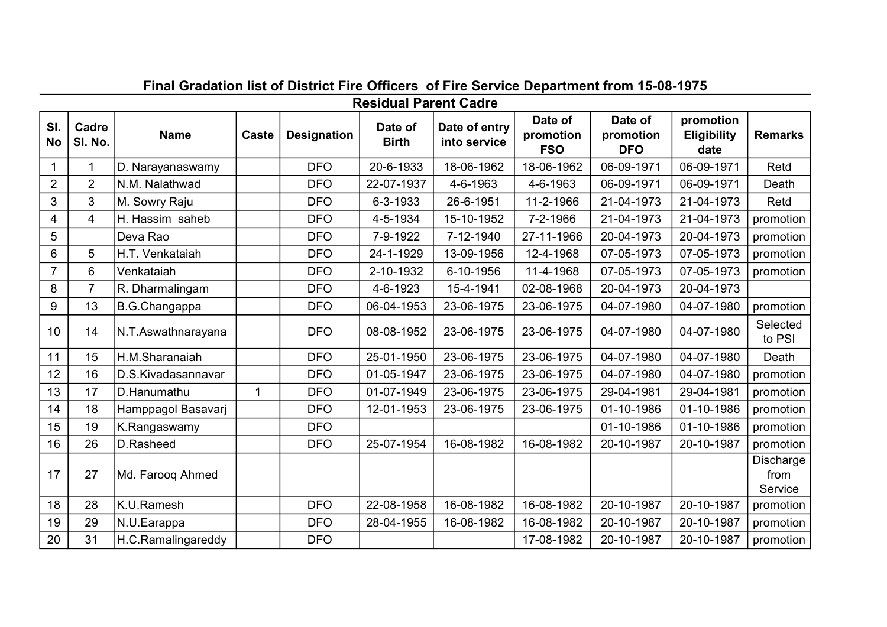|                  | <b>Residual Parent Cadre</b> |                    |              |                    |                         |                               |                                    |                                    |                                         |                              |  |  |  |  |
|------------------|------------------------------|--------------------|--------------|--------------------|-------------------------|-------------------------------|------------------------------------|------------------------------------|-----------------------------------------|------------------------------|--|--|--|--|
| SI.<br><b>No</b> | Cadre<br>SI. No.             | <b>Name</b>        | Caste        | <b>Designation</b> | Date of<br><b>Birth</b> | Date of entry<br>into service | Date of<br>promotion<br><b>FSO</b> | Date of<br>promotion<br><b>DFO</b> | promotion<br><b>Eligibility</b><br>date | <b>Remarks</b>               |  |  |  |  |
|                  | 1                            | D. Narayanaswamy   |              | <b>DFO</b>         | 20-6-1933               | 18-06-1962                    | 18-06-1962                         | 06-09-1971                         | 06-09-1971                              | Retd                         |  |  |  |  |
| $\overline{2}$   | $\overline{2}$               | N.M. Nalathwad     |              | <b>DFO</b>         | 22-07-1937              | 4-6-1963                      | 4-6-1963                           | 06-09-1971                         | 06-09-1971                              | Death                        |  |  |  |  |
| 3                | 3                            | M. Sowry Raju      |              | <b>DFO</b>         | 6-3-1933                | 26-6-1951                     | 11-2-1966                          | 21-04-1973                         | 21-04-1973                              | Retd                         |  |  |  |  |
| 4                | $\overline{4}$               | H. Hassim saheb    |              | <b>DFO</b>         | 4-5-1934                | 15-10-1952                    | 7-2-1966                           | 21-04-1973                         | 21-04-1973                              | promotion                    |  |  |  |  |
| 5                |                              | lDeva Rao          |              | <b>DFO</b>         | 7-9-1922                | 7-12-1940                     | 27-11-1966                         | 20-04-1973                         | 20-04-1973                              | promotion                    |  |  |  |  |
| 6                | 5                            | H.T. Venkataiah    |              | <b>DFO</b>         | 24-1-1929               | 13-09-1956                    | 12-4-1968                          | 07-05-1973                         | 07-05-1973                              | promotion                    |  |  |  |  |
| $\overline{7}$   | 6                            | Venkataiah         |              | <b>DFO</b>         | 2-10-1932               | 6-10-1956                     | 11-4-1968                          | 07-05-1973                         | 07-05-1973                              | promotion                    |  |  |  |  |
| 8                | 7                            | R. Dharmalingam    |              | <b>DFO</b>         | 4-6-1923                | 15-4-1941                     | 02-08-1968                         | 20-04-1973                         | 20-04-1973                              |                              |  |  |  |  |
| 9                | 13                           | B.G.Changappa      |              | <b>DFO</b>         | 06-04-1953              | 23-06-1975                    | 23-06-1975                         | 04-07-1980                         | 04-07-1980                              | promotion                    |  |  |  |  |
| 10               | 14                           | N.T.Aswathnarayana |              | <b>DFO</b>         | 08-08-1952              | 23-06-1975                    | 23-06-1975                         | 04-07-1980                         | 04-07-1980                              | Selected<br>to PSI           |  |  |  |  |
| 11               | 15                           | H.M.Sharanaiah     |              | <b>DFO</b>         | 25-01-1950              | 23-06-1975                    | 23-06-1975                         | 04-07-1980                         | 04-07-1980                              | Death                        |  |  |  |  |
| 12               | 16                           | D.S.Kivadasannavar |              | <b>DFO</b>         | 01-05-1947              | 23-06-1975                    | 23-06-1975                         | 04-07-1980                         | 04-07-1980                              | promotion                    |  |  |  |  |
| 13               | 17                           | D.Hanumathu        | $\mathbf{1}$ | <b>DFO</b>         | 01-07-1949              | 23-06-1975                    | 23-06-1975                         | 29-04-1981                         | 29-04-1981                              | promotion                    |  |  |  |  |
| 14               | 18                           | Hamppagol Basavarj |              | <b>DFO</b>         | 12-01-1953              | 23-06-1975                    | 23-06-1975                         | 01-10-1986                         | 01-10-1986                              | promotion                    |  |  |  |  |
| 15               | 19                           | K.Rangaswamy       |              | <b>DFO</b>         |                         |                               |                                    | 01-10-1986                         | 01-10-1986                              | promotion                    |  |  |  |  |
| 16               | 26                           | D.Rasheed          |              | <b>DFO</b>         | 25-07-1954              | 16-08-1982                    | 16-08-1982                         | 20-10-1987                         | 20-10-1987                              | promotion                    |  |  |  |  |
| 17               | 27                           | Md. Farooq Ahmed   |              |                    |                         |                               |                                    |                                    |                                         | Discharge<br>from<br>Service |  |  |  |  |
| 18               | 28                           | lK.U.Ramesh        |              | <b>DFO</b>         | 22-08-1958              | 16-08-1982                    | 16-08-1982                         | 20-10-1987                         | 20-10-1987                              | promotion                    |  |  |  |  |
| 19               | 29                           | N.U.Earappa        |              | <b>DFO</b>         | 28-04-1955              | 16-08-1982                    | 16-08-1982                         | 20-10-1987                         | 20-10-1987                              | promotion                    |  |  |  |  |
| 20               | 31                           | H.C.Ramalingareddy |              | <b>DFO</b>         |                         |                               | 17-08-1982                         | 20-10-1987                         | 20-10-1987                              | promotion                    |  |  |  |  |

## Final Gradation list of District Fire Officers of Fire Service Department from 15-08-1975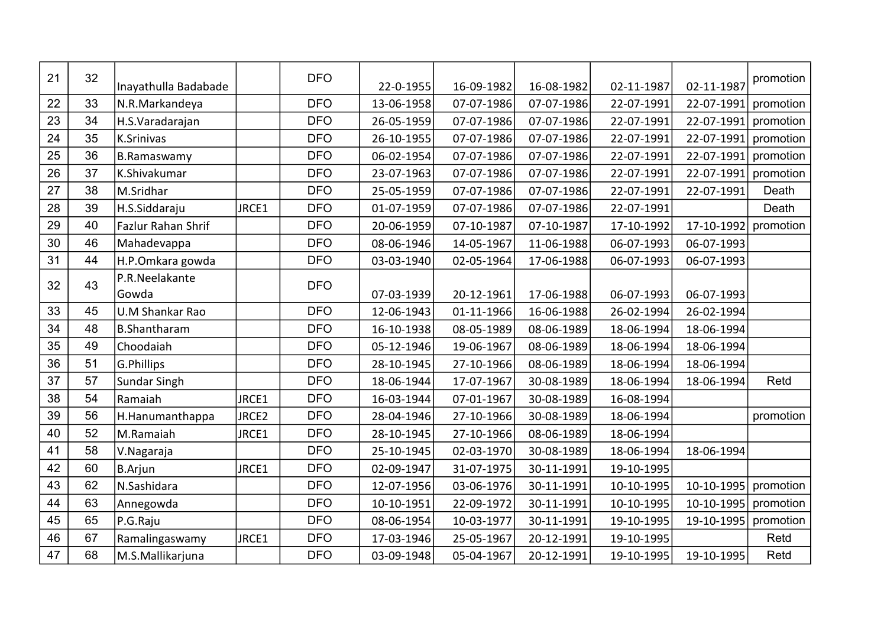| 21 | 32 | Inayathulla Badabade    |       | <b>DFO</b> | 22-0-1955  | 16-09-1982 | 16-08-1982 | 02-11-1987 | 02-11-1987 | promotion |
|----|----|-------------------------|-------|------------|------------|------------|------------|------------|------------|-----------|
| 22 | 33 | N.R.Markandeya          |       | <b>DFO</b> | 13-06-1958 | 07-07-1986 | 07-07-1986 | 22-07-1991 | 22-07-1991 | promotion |
| 23 | 34 | H.S.Varadarajan         |       | <b>DFO</b> | 26-05-1959 | 07-07-1986 | 07-07-1986 | 22-07-1991 | 22-07-1991 | promotion |
| 24 | 35 | K.Srinivas              |       | <b>DFO</b> | 26-10-1955 | 07-07-1986 | 07-07-1986 | 22-07-1991 | 22-07-1991 | promotion |
| 25 | 36 | <b>B.Ramaswamy</b>      |       | <b>DFO</b> | 06-02-1954 | 07-07-1986 | 07-07-1986 | 22-07-1991 | 22-07-1991 | promotion |
| 26 | 37 | K.Shivakumar            |       | <b>DFO</b> | 23-07-1963 | 07-07-1986 | 07-07-1986 | 22-07-1991 | 22-07-1991 | promotion |
| 27 | 38 | M.Sridhar               |       | <b>DFO</b> | 25-05-1959 | 07-07-1986 | 07-07-1986 | 22-07-1991 | 22-07-1991 | Death     |
| 28 | 39 | H.S.Siddaraju           | JRCE1 | <b>DFO</b> | 01-07-1959 | 07-07-1986 | 07-07-1986 | 22-07-1991 |            | Death     |
| 29 | 40 | Fazlur Rahan Shrif      |       | <b>DFO</b> | 20-06-1959 | 07-10-1987 | 07-10-1987 | 17-10-1992 | 17-10-1992 | promotion |
| 30 | 46 | Mahadevappa             |       | <b>DFO</b> | 08-06-1946 | 14-05-1967 | 11-06-1988 | 06-07-1993 | 06-07-1993 |           |
| 31 | 44 | H.P.Omkara gowda        |       | <b>DFO</b> | 03-03-1940 | 02-05-1964 | 17-06-1988 | 06-07-1993 | 06-07-1993 |           |
| 32 | 43 | P.R.Neelakante<br>Gowda |       | <b>DFO</b> | 07-03-1939 | 20-12-1961 | 17-06-1988 | 06-07-1993 | 06-07-1993 |           |
| 33 | 45 | U.M Shankar Rao         |       | <b>DFO</b> | 12-06-1943 | 01-11-1966 | 16-06-1988 | 26-02-1994 | 26-02-1994 |           |
| 34 | 48 | <b>B.Shantharam</b>     |       | <b>DFO</b> | 16-10-1938 | 08-05-1989 | 08-06-1989 | 18-06-1994 | 18-06-1994 |           |
| 35 | 49 | Choodaiah               |       | <b>DFO</b> | 05-12-1946 | 19-06-1967 | 08-06-1989 | 18-06-1994 | 18-06-1994 |           |
| 36 | 51 | G.Phillips              |       | <b>DFO</b> | 28-10-1945 | 27-10-1966 | 08-06-1989 | 18-06-1994 | 18-06-1994 |           |
| 37 | 57 | <b>Sundar Singh</b>     |       | <b>DFO</b> | 18-06-1944 | 17-07-1967 | 30-08-1989 | 18-06-1994 | 18-06-1994 | Retd      |
| 38 | 54 | Ramaiah                 | JRCE1 | <b>DFO</b> | 16-03-1944 | 07-01-1967 | 30-08-1989 | 16-08-1994 |            |           |
| 39 | 56 | H.Hanumanthappa         | JRCE2 | <b>DFO</b> | 28-04-1946 | 27-10-1966 | 30-08-1989 | 18-06-1994 |            | promotion |
| 40 | 52 | M.Ramaiah               | JRCE1 | <b>DFO</b> | 28-10-1945 | 27-10-1966 | 08-06-1989 | 18-06-1994 |            |           |
| 41 | 58 | V.Nagaraja              |       | <b>DFO</b> | 25-10-1945 | 02-03-1970 | 30-08-1989 | 18-06-1994 | 18-06-1994 |           |
| 42 | 60 | <b>B.Arjun</b>          | JRCE1 | <b>DFO</b> | 02-09-1947 | 31-07-1975 | 30-11-1991 | 19-10-1995 |            |           |
| 43 | 62 | N.Sashidara             |       | <b>DFO</b> | 12-07-1956 | 03-06-1976 | 30-11-1991 | 10-10-1995 | 10-10-1995 | promotion |
| 44 | 63 | Annegowda               |       | <b>DFO</b> | 10-10-1951 | 22-09-1972 | 30-11-1991 | 10-10-1995 | 10-10-1995 | promotion |
| 45 | 65 | P.G.Raju                |       | <b>DFO</b> | 08-06-1954 | 10-03-1977 | 30-11-1991 | 19-10-1995 | 19-10-1995 | promotion |
| 46 | 67 | Ramalingaswamy          | JRCE1 | <b>DFO</b> | 17-03-1946 | 25-05-1967 | 20-12-1991 | 19-10-1995 |            | Retd      |
| 47 | 68 | M.S.Mallikarjuna        |       | <b>DFO</b> | 03-09-1948 | 05-04-1967 | 20-12-1991 | 19-10-1995 | 19-10-1995 | Retd      |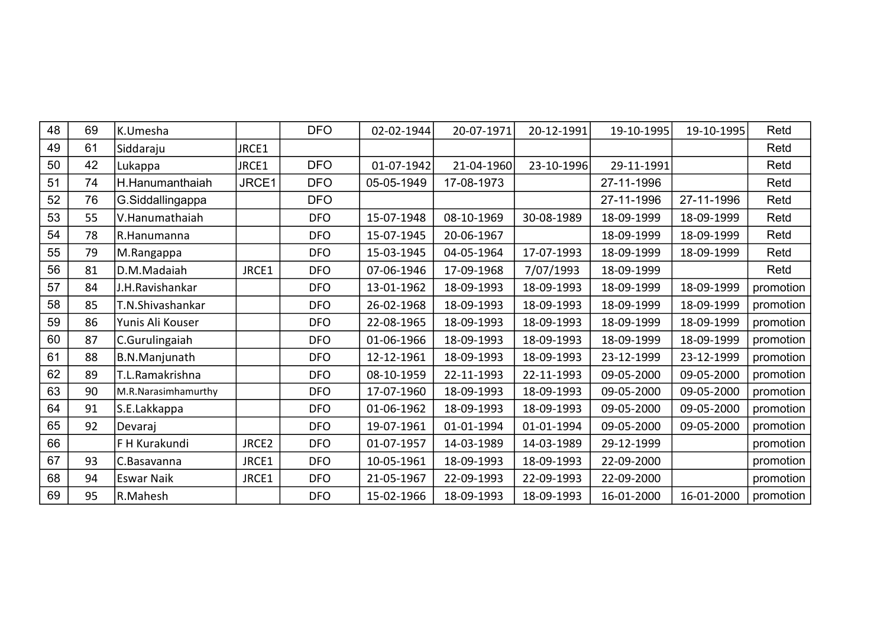| 48 | 69 | K.Umesha            |       | <b>DFO</b> | 02-02-1944 | 20-07-1971 | 20-12-1991 | 19-10-1995 | 19-10-1995 | Retd      |
|----|----|---------------------|-------|------------|------------|------------|------------|------------|------------|-----------|
| 49 | 61 | Siddaraju           | JRCE1 |            |            |            |            |            |            | Retd      |
| 50 | 42 | Lukappa             | JRCE1 | <b>DFO</b> | 01-07-1942 | 21-04-1960 | 23-10-1996 | 29-11-1991 |            | Retd      |
| 51 | 74 | H.Hanumanthaiah     | JRCE1 | <b>DFO</b> | 05-05-1949 | 17-08-1973 |            | 27-11-1996 |            | Retd      |
| 52 | 76 | G.Siddallingappa    |       | <b>DFO</b> |            |            |            | 27-11-1996 | 27-11-1996 | Retd      |
| 53 | 55 | V.Hanumathaiah      |       | <b>DFO</b> | 15-07-1948 | 08-10-1969 | 30-08-1989 | 18-09-1999 | 18-09-1999 | Retd      |
| 54 | 78 | R.Hanumanna         |       | <b>DFO</b> | 15-07-1945 | 20-06-1967 |            | 18-09-1999 | 18-09-1999 | Retd      |
| 55 | 79 | M.Rangappa          |       | <b>DFO</b> | 15-03-1945 | 04-05-1964 | 17-07-1993 | 18-09-1999 | 18-09-1999 | Retd      |
| 56 | 81 | D.M.Madaiah         | JRCE1 | <b>DFO</b> | 07-06-1946 | 17-09-1968 | 7/07/1993  | 18-09-1999 |            | Retd      |
| 57 | 84 | J.H.Ravishankar     |       | <b>DFO</b> | 13-01-1962 | 18-09-1993 | 18-09-1993 | 18-09-1999 | 18-09-1999 | promotion |
| 58 | 85 | T.N.Shivashankar    |       | <b>DFO</b> | 26-02-1968 | 18-09-1993 | 18-09-1993 | 18-09-1999 | 18-09-1999 | promotion |
| 59 | 86 | Yunis Ali Kouser    |       | <b>DFO</b> | 22-08-1965 | 18-09-1993 | 18-09-1993 | 18-09-1999 | 18-09-1999 | promotion |
| 60 | 87 | C.Gurulingaiah      |       | <b>DFO</b> | 01-06-1966 | 18-09-1993 | 18-09-1993 | 18-09-1999 | 18-09-1999 | promotion |
| 61 | 88 | B.N.Manjunath       |       | <b>DFO</b> | 12-12-1961 | 18-09-1993 | 18-09-1993 | 23-12-1999 | 23-12-1999 | promotion |
| 62 | 89 | T.L.Ramakrishna     |       | <b>DFO</b> | 08-10-1959 | 22-11-1993 | 22-11-1993 | 09-05-2000 | 09-05-2000 | promotion |
| 63 | 90 | M.R.Narasimhamurthy |       | <b>DFO</b> | 17-07-1960 | 18-09-1993 | 18-09-1993 | 09-05-2000 | 09-05-2000 | promotion |
| 64 | 91 | S.E.Lakkappa        |       | <b>DFO</b> | 01-06-1962 | 18-09-1993 | 18-09-1993 | 09-05-2000 | 09-05-2000 | promotion |
| 65 | 92 | Devaraj             |       | <b>DFO</b> | 19-07-1961 | 01-01-1994 | 01-01-1994 | 09-05-2000 | 09-05-2000 | promotion |
| 66 |    | F H Kurakundi       | JRCE2 | <b>DFO</b> | 01-07-1957 | 14-03-1989 | 14-03-1989 | 29-12-1999 |            | promotion |
| 67 | 93 | C.Basavanna         | JRCE1 | <b>DFO</b> | 10-05-1961 | 18-09-1993 | 18-09-1993 | 22-09-2000 |            | promotion |
| 68 | 94 | <b>Eswar Naik</b>   | JRCE1 | <b>DFO</b> | 21-05-1967 | 22-09-1993 | 22-09-1993 | 22-09-2000 |            | promotion |
| 69 | 95 | R.Mahesh            |       | <b>DFO</b> | 15-02-1966 | 18-09-1993 | 18-09-1993 | 16-01-2000 | 16-01-2000 | promotion |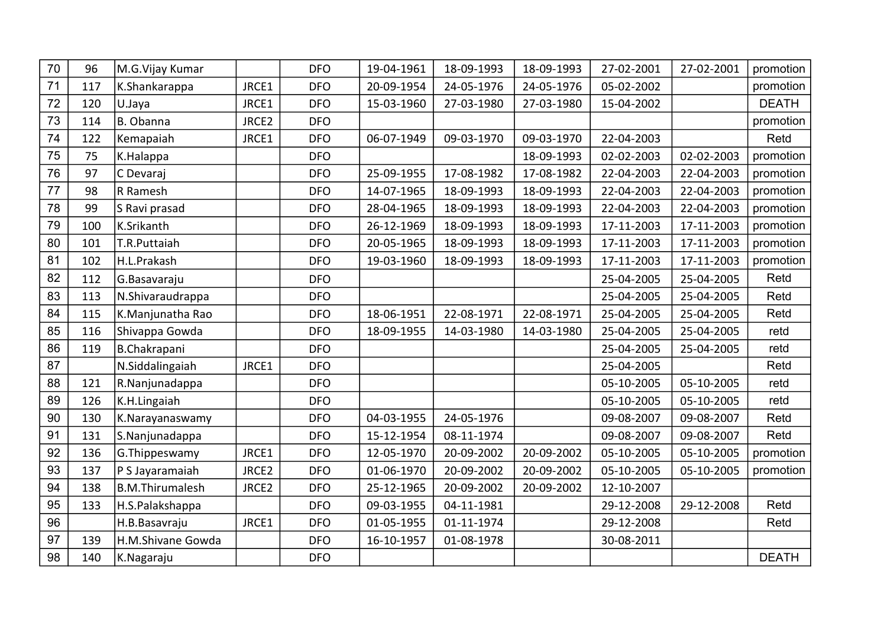| 70 | 96  | M.G.Vijay Kumar        |       | <b>DFO</b> | 19-04-1961 | 18-09-1993 | 18-09-1993 | 27-02-2001 | 27-02-2001 | promotion    |
|----|-----|------------------------|-------|------------|------------|------------|------------|------------|------------|--------------|
| 71 | 117 | K.Shankarappa          | JRCE1 | <b>DFO</b> | 20-09-1954 | 24-05-1976 | 24-05-1976 | 05-02-2002 |            | promotion    |
| 72 | 120 | U.Jaya                 | JRCE1 | <b>DFO</b> | 15-03-1960 | 27-03-1980 | 27-03-1980 | 15-04-2002 |            | <b>DEATH</b> |
| 73 | 114 | B. Obanna              | JRCE2 | <b>DFO</b> |            |            |            |            |            | promotion    |
| 74 | 122 | Kemapaiah              | JRCE1 | <b>DFO</b> | 06-07-1949 | 09-03-1970 | 09-03-1970 | 22-04-2003 |            | Retd         |
| 75 | 75  | K.Halappa              |       | <b>DFO</b> |            |            | 18-09-1993 | 02-02-2003 | 02-02-2003 | promotion    |
| 76 | 97  | C Devaraj              |       | <b>DFO</b> | 25-09-1955 | 17-08-1982 | 17-08-1982 | 22-04-2003 | 22-04-2003 | promotion    |
| 77 | 98  | R Ramesh               |       | <b>DFO</b> | 14-07-1965 | 18-09-1993 | 18-09-1993 | 22-04-2003 | 22-04-2003 | promotion    |
| 78 | 99  | S Ravi prasad          |       | <b>DFO</b> | 28-04-1965 | 18-09-1993 | 18-09-1993 | 22-04-2003 | 22-04-2003 | promotion    |
| 79 | 100 | K.Srikanth             |       | <b>DFO</b> | 26-12-1969 | 18-09-1993 | 18-09-1993 | 17-11-2003 | 17-11-2003 | promotion    |
| 80 | 101 | T.R.Puttaiah           |       | <b>DFO</b> | 20-05-1965 | 18-09-1993 | 18-09-1993 | 17-11-2003 | 17-11-2003 | promotion    |
| 81 | 102 | H.L.Prakash            |       | <b>DFO</b> | 19-03-1960 | 18-09-1993 | 18-09-1993 | 17-11-2003 | 17-11-2003 | promotion    |
| 82 | 112 | G.Basavaraju           |       | <b>DFO</b> |            |            |            | 25-04-2005 | 25-04-2005 | Retd         |
| 83 | 113 | N.Shivaraudrappa       |       | <b>DFO</b> |            |            |            | 25-04-2005 | 25-04-2005 | Retd         |
| 84 | 115 | K.Manjunatha Rao       |       | <b>DFO</b> | 18-06-1951 | 22-08-1971 | 22-08-1971 | 25-04-2005 | 25-04-2005 | Retd         |
| 85 | 116 | Shivappa Gowda         |       | <b>DFO</b> | 18-09-1955 | 14-03-1980 | 14-03-1980 | 25-04-2005 | 25-04-2005 | retd         |
| 86 | 119 | B.Chakrapani           |       | <b>DFO</b> |            |            |            | 25-04-2005 | 25-04-2005 | retd         |
| 87 |     | N.Siddalingaiah        | JRCE1 | <b>DFO</b> |            |            |            | 25-04-2005 |            | Retd         |
| 88 | 121 | R.Nanjunadappa         |       | <b>DFO</b> |            |            |            | 05-10-2005 | 05-10-2005 | retd         |
| 89 | 126 | K.H.Lingaiah           |       | <b>DFO</b> |            |            |            | 05-10-2005 | 05-10-2005 | retd         |
| 90 | 130 | K.Narayanaswamy        |       | <b>DFO</b> | 04-03-1955 | 24-05-1976 |            | 09-08-2007 | 09-08-2007 | Retd         |
| 91 | 131 | S.Nanjunadappa         |       | <b>DFO</b> | 15-12-1954 | 08-11-1974 |            | 09-08-2007 | 09-08-2007 | Retd         |
| 92 | 136 | G.Thippeswamy          | JRCE1 | <b>DFO</b> | 12-05-1970 | 20-09-2002 | 20-09-2002 | 05-10-2005 | 05-10-2005 | promotion    |
| 93 | 137 | P S Jayaramaiah        | JRCE2 | <b>DFO</b> | 01-06-1970 | 20-09-2002 | 20-09-2002 | 05-10-2005 | 05-10-2005 | promotion    |
| 94 | 138 | <b>B.M.Thirumalesh</b> | JRCE2 | <b>DFO</b> | 25-12-1965 | 20-09-2002 | 20-09-2002 | 12-10-2007 |            |              |
| 95 | 133 | H.S. Palakshappa       |       | <b>DFO</b> | 09-03-1955 | 04-11-1981 |            | 29-12-2008 | 29-12-2008 | Retd         |
| 96 |     | H.B.Basavraju          | JRCE1 | <b>DFO</b> | 01-05-1955 | 01-11-1974 |            | 29-12-2008 |            | Retd         |
| 97 | 139 | H.M.Shivane Gowda      |       | <b>DFO</b> | 16-10-1957 | 01-08-1978 |            | 30-08-2011 |            |              |
| 98 | 140 | K.Nagaraju             |       | <b>DFO</b> |            |            |            |            |            | <b>DEATH</b> |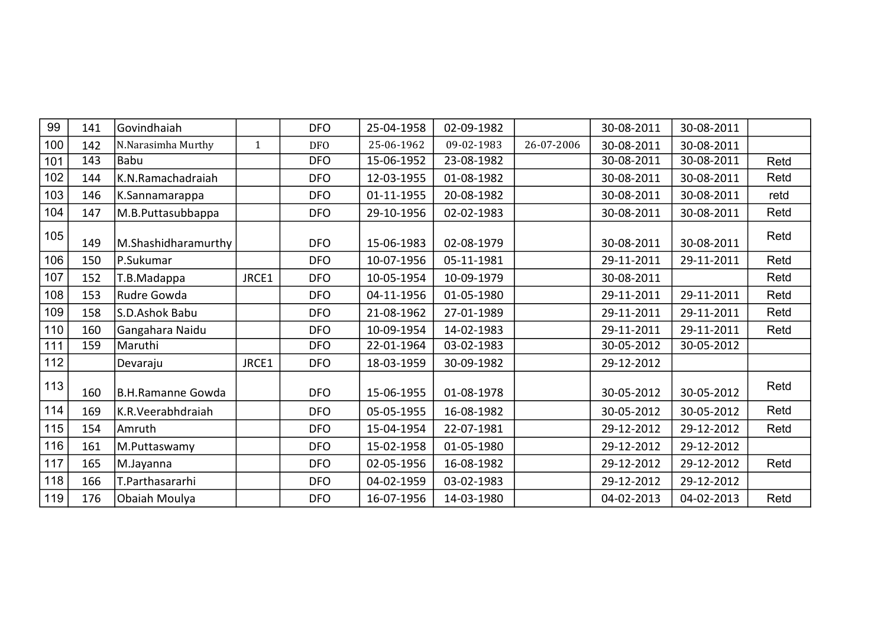| 99  | 141 | Govindhaiah              |              | <b>DFO</b> | 25-04-1958 | 02-09-1982 |            | 30-08-2011 | 30-08-2011 |      |
|-----|-----|--------------------------|--------------|------------|------------|------------|------------|------------|------------|------|
| 100 | 142 | N.Narasimha Murthy       | $\mathbf{1}$ | <b>DFO</b> | 25-06-1962 | 09-02-1983 | 26-07-2006 | 30-08-2011 | 30-08-2011 |      |
| 101 | 143 | Babu                     |              | <b>DFO</b> | 15-06-1952 | 23-08-1982 |            | 30-08-2011 | 30-08-2011 | Retd |
| 102 | 144 | K.N.Ramachadraiah        |              | <b>DFO</b> | 12-03-1955 | 01-08-1982 |            | 30-08-2011 | 30-08-2011 | Retd |
| 103 | 146 | K.Sannamarappa           |              | <b>DFO</b> | 01-11-1955 | 20-08-1982 |            | 30-08-2011 | 30-08-2011 | retd |
| 104 | 147 | M.B.Puttasubbappa        |              | <b>DFO</b> | 29-10-1956 | 02-02-1983 |            | 30-08-2011 | 30-08-2011 | Retd |
| 105 | 149 | M.Shashidharamurthy      |              | <b>DFO</b> | 15-06-1983 | 02-08-1979 |            | 30-08-2011 | 30-08-2011 | Retd |
| 106 | 150 | P.Sukumar                |              | <b>DFO</b> | 10-07-1956 | 05-11-1981 |            | 29-11-2011 | 29-11-2011 | Retd |
| 107 | 152 | T.B.Madappa              | JRCE1        | <b>DFO</b> | 10-05-1954 | 10-09-1979 |            | 30-08-2011 |            | Retd |
| 108 | 153 | Rudre Gowda              |              | <b>DFO</b> | 04-11-1956 | 01-05-1980 |            | 29-11-2011 | 29-11-2011 | Retd |
| 109 | 158 | S.D.Ashok Babu           |              | <b>DFO</b> | 21-08-1962 | 27-01-1989 |            | 29-11-2011 | 29-11-2011 | Retd |
| 110 | 160 | Gangahara Naidu          |              | <b>DFO</b> | 10-09-1954 | 14-02-1983 |            | 29-11-2011 | 29-11-2011 | Retd |
| 111 | 159 | Maruthi                  |              | <b>DFO</b> | 22-01-1964 | 03-02-1983 |            | 30-05-2012 | 30-05-2012 |      |
| 112 |     | Devaraju                 | JRCE1        | <b>DFO</b> | 18-03-1959 | 30-09-1982 |            | 29-12-2012 |            |      |
| 113 | 160 | <b>B.H.Ramanne Gowda</b> |              | <b>DFO</b> | 15-06-1955 | 01-08-1978 |            | 30-05-2012 | 30-05-2012 | Retd |
| 114 | 169 | K.R.Veerabhdraiah        |              | <b>DFO</b> | 05-05-1955 | 16-08-1982 |            | 30-05-2012 | 30-05-2012 | Retd |
| 115 | 154 | Amruth                   |              | <b>DFO</b> | 15-04-1954 | 22-07-1981 |            | 29-12-2012 | 29-12-2012 | Retd |
| 116 | 161 | M.Puttaswamy             |              | <b>DFO</b> | 15-02-1958 | 01-05-1980 |            | 29-12-2012 | 29-12-2012 |      |
| 117 | 165 | M.Jayanna                |              | <b>DFO</b> | 02-05-1956 | 16-08-1982 |            | 29-12-2012 | 29-12-2012 | Retd |
| 118 | 166 | T.Parthasararhi          |              | <b>DFO</b> | 04-02-1959 | 03-02-1983 |            | 29-12-2012 | 29-12-2012 |      |
| 119 | 176 | Obaiah Moulya            |              | <b>DFO</b> | 16-07-1956 | 14-03-1980 |            | 04-02-2013 | 04-02-2013 | Retd |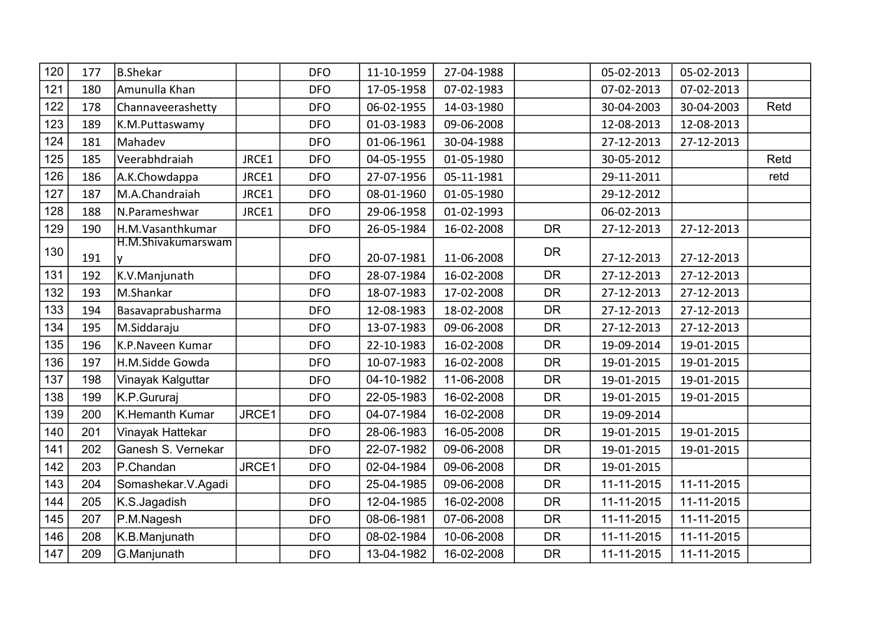| 120 | 177 | B.Shekar           |       | <b>DFO</b> | 11-10-1959 | 27-04-1988 |           | 05-02-2013 | 05-02-2013 |      |
|-----|-----|--------------------|-------|------------|------------|------------|-----------|------------|------------|------|
| 121 | 180 | Amunulla Khan      |       | <b>DFO</b> | 17-05-1958 | 07-02-1983 |           | 07-02-2013 | 07-02-2013 |      |
| 122 | 178 | Channaveerashetty  |       | <b>DFO</b> | 06-02-1955 | 14-03-1980 |           | 30-04-2003 | 30-04-2003 | Retd |
| 123 | 189 | K.M.Puttaswamy     |       | <b>DFO</b> | 01-03-1983 | 09-06-2008 |           | 12-08-2013 | 12-08-2013 |      |
| 124 | 181 | Mahadev            |       | <b>DFO</b> | 01-06-1961 | 30-04-1988 |           | 27-12-2013 | 27-12-2013 |      |
| 125 | 185 | Veerabhdraiah      | JRCE1 | <b>DFO</b> | 04-05-1955 | 01-05-1980 |           | 30-05-2012 |            | Retd |
| 126 | 186 | A.K.Chowdappa      | JRCE1 | <b>DFO</b> | 27-07-1956 | 05-11-1981 |           | 29-11-2011 |            | retd |
| 127 | 187 | M.A.Chandraiah     | JRCE1 | <b>DFO</b> | 08-01-1960 | 01-05-1980 |           | 29-12-2012 |            |      |
| 128 | 188 | N.Parameshwar      | JRCE1 | <b>DFO</b> | 29-06-1958 | 01-02-1993 |           | 06-02-2013 |            |      |
| 129 | 190 | H.M.Vasanthkumar   |       | <b>DFO</b> | 26-05-1984 | 16-02-2008 | <b>DR</b> | 27-12-2013 | 27-12-2013 |      |
| 130 | 191 | H.M.Shivakumarswam |       | <b>DFO</b> |            | 11-06-2008 | <b>DR</b> | 27-12-2013 | 27-12-2013 |      |
| 131 |     |                    |       |            | 20-07-1981 |            | <b>DR</b> |            |            |      |
|     | 192 | K.V.Manjunath      |       | <b>DFO</b> | 28-07-1984 | 16-02-2008 |           | 27-12-2013 | 27-12-2013 |      |
| 132 | 193 | M.Shankar          |       | <b>DFO</b> | 18-07-1983 | 17-02-2008 | <b>DR</b> | 27-12-2013 | 27-12-2013 |      |
| 133 | 194 | Basavaprabusharma  |       | <b>DFO</b> | 12-08-1983 | 18-02-2008 | <b>DR</b> | 27-12-2013 | 27-12-2013 |      |
| 134 | 195 | M.Siddaraju        |       | <b>DFO</b> | 13-07-1983 | 09-06-2008 | <b>DR</b> | 27-12-2013 | 27-12-2013 |      |
| 135 | 196 | K.P.Naveen Kumar   |       | <b>DFO</b> | 22-10-1983 | 16-02-2008 | <b>DR</b> | 19-09-2014 | 19-01-2015 |      |
| 136 | 197 | H.M.Sidde Gowda    |       | <b>DFO</b> | 10-07-1983 | 16-02-2008 | <b>DR</b> | 19-01-2015 | 19-01-2015 |      |
| 137 | 198 | Vinayak Kalguttar  |       | <b>DFO</b> | 04-10-1982 | 11-06-2008 | <b>DR</b> | 19-01-2015 | 19-01-2015 |      |
| 138 | 199 | K.P.Gururaj        |       | <b>DFO</b> | 22-05-1983 | 16-02-2008 | <b>DR</b> | 19-01-2015 | 19-01-2015 |      |
| 139 | 200 | K.Hemanth Kumar    | JRCE1 | <b>DFO</b> | 04-07-1984 | 16-02-2008 | <b>DR</b> | 19-09-2014 |            |      |
| 140 | 201 | Vinayak Hattekar   |       | <b>DFO</b> | 28-06-1983 | 16-05-2008 | <b>DR</b> | 19-01-2015 | 19-01-2015 |      |
| 141 | 202 | Ganesh S. Vernekar |       | <b>DFO</b> | 22-07-1982 | 09-06-2008 | <b>DR</b> | 19-01-2015 | 19-01-2015 |      |
| 142 | 203 | P.Chandan          | JRCE1 | <b>DFO</b> | 02-04-1984 | 09-06-2008 | <b>DR</b> | 19-01-2015 |            |      |
| 143 | 204 | Somashekar.V.Agadi |       | <b>DFO</b> | 25-04-1985 | 09-06-2008 | <b>DR</b> | 11-11-2015 | 11-11-2015 |      |
| 144 | 205 | K.S.Jagadish       |       | <b>DFO</b> | 12-04-1985 | 16-02-2008 | <b>DR</b> | 11-11-2015 | 11-11-2015 |      |
| 145 | 207 | P.M.Nagesh         |       | <b>DFO</b> | 08-06-1981 | 07-06-2008 | <b>DR</b> | 11-11-2015 | 11-11-2015 |      |
| 146 | 208 | K.B.Manjunath      |       | <b>DFO</b> | 08-02-1984 | 10-06-2008 | <b>DR</b> | 11-11-2015 | 11-11-2015 |      |
| 147 | 209 | G.Manjunath        |       | <b>DFO</b> | 13-04-1982 | 16-02-2008 | <b>DR</b> | 11-11-2015 | 11-11-2015 |      |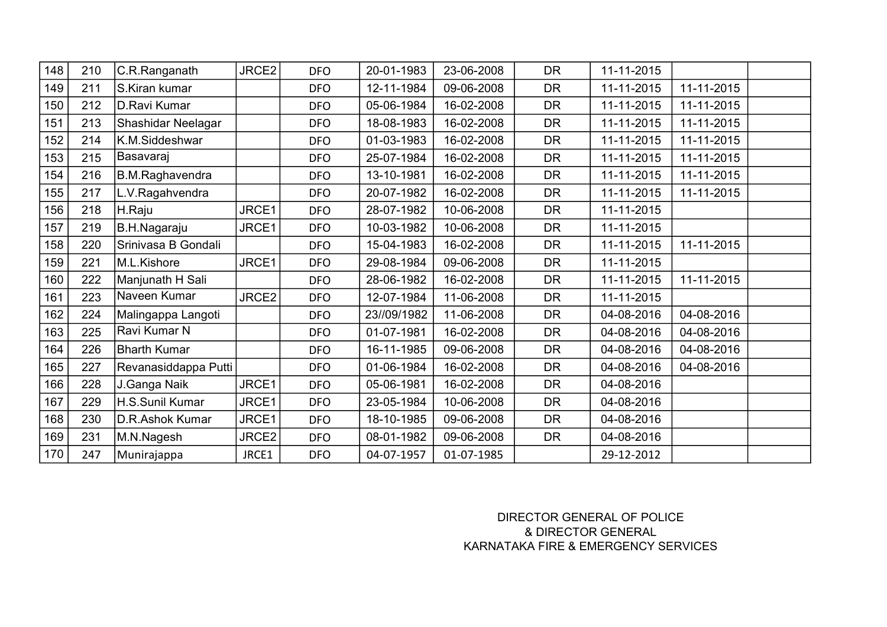| 148 | 210 | C.R.Ranganath        | JRCE2 | <b>DFO</b> | 20-01-1983  | 23-06-2008 | <b>DR</b> | 11-11-2015 |            |  |
|-----|-----|----------------------|-------|------------|-------------|------------|-----------|------------|------------|--|
| 149 | 211 | S.Kiran kumar        |       | <b>DFO</b> | 12-11-1984  | 09-06-2008 | <b>DR</b> | 11-11-2015 | 11-11-2015 |  |
| 150 | 212 | D.Ravi Kumar         |       | <b>DFO</b> | 05-06-1984  | 16-02-2008 | <b>DR</b> | 11-11-2015 | 11-11-2015 |  |
| 151 | 213 | Shashidar Neelagar   |       | <b>DFO</b> | 18-08-1983  | 16-02-2008 | <b>DR</b> | 11-11-2015 | 11-11-2015 |  |
| 152 | 214 | K.M.Siddeshwar       |       | <b>DFO</b> | 01-03-1983  | 16-02-2008 | <b>DR</b> | 11-11-2015 | 11-11-2015 |  |
| 153 | 215 | Basavaraj            |       | <b>DFO</b> | 25-07-1984  | 16-02-2008 | <b>DR</b> | 11-11-2015 | 11-11-2015 |  |
| 154 | 216 | B.M.Raghavendra      |       | <b>DFO</b> | 13-10-1981  | 16-02-2008 | <b>DR</b> | 11-11-2015 | 11-11-2015 |  |
| 155 | 217 | L.V.Ragahvendra      |       | <b>DFO</b> | 20-07-1982  | 16-02-2008 | <b>DR</b> | 11-11-2015 | 11-11-2015 |  |
| 156 | 218 | H.Raju               | JRCE1 | <b>DFO</b> | 28-07-1982  | 10-06-2008 | <b>DR</b> | 11-11-2015 |            |  |
| 157 | 219 | B.H.Nagaraju         | JRCE1 | <b>DFO</b> | 10-03-1982  | 10-06-2008 | <b>DR</b> | 11-11-2015 |            |  |
| 158 | 220 | Srinivasa B Gondali  |       | <b>DFO</b> | 15-04-1983  | 16-02-2008 | <b>DR</b> | 11-11-2015 | 11-11-2015 |  |
| 159 | 221 | M.L.Kishore          | JRCE1 | <b>DFO</b> | 29-08-1984  | 09-06-2008 | <b>DR</b> | 11-11-2015 |            |  |
| 160 | 222 | Manjunath H Sali     |       | <b>DFO</b> | 28-06-1982  | 16-02-2008 | <b>DR</b> | 11-11-2015 | 11-11-2015 |  |
| 161 | 223 | Naveen Kumar         | JRCE2 | <b>DFO</b> | 12-07-1984  | 11-06-2008 | <b>DR</b> | 11-11-2015 |            |  |
| 162 | 224 | Malingappa Langoti   |       | <b>DFO</b> | 23//09/1982 | 11-06-2008 | <b>DR</b> | 04-08-2016 | 04-08-2016 |  |
| 163 | 225 | Ravi Kumar N         |       | <b>DFO</b> | 01-07-1981  | 16-02-2008 | <b>DR</b> | 04-08-2016 | 04-08-2016 |  |
| 164 | 226 | <b>Bharth Kumar</b>  |       | <b>DFO</b> | 16-11-1985  | 09-06-2008 | <b>DR</b> | 04-08-2016 | 04-08-2016 |  |
| 165 | 227 | Revanasiddappa Putti |       | <b>DFO</b> | 01-06-1984  | 16-02-2008 | <b>DR</b> | 04-08-2016 | 04-08-2016 |  |
| 166 | 228 | J.Ganga Naik         | JRCE1 | <b>DFO</b> | 05-06-1981  | 16-02-2008 | <b>DR</b> | 04-08-2016 |            |  |
| 167 | 229 | H.S.Sunil Kumar      | JRCE1 | <b>DFO</b> | 23-05-1984  | 10-06-2008 | <b>DR</b> | 04-08-2016 |            |  |
| 168 | 230 | D.R.Ashok Kumar      | JRCE1 | <b>DFO</b> | 18-10-1985  | 09-06-2008 | <b>DR</b> | 04-08-2016 |            |  |
| 169 | 231 | M.N.Nagesh           | JRCE2 | <b>DFO</b> | 08-01-1982  | 09-06-2008 | <b>DR</b> | 04-08-2016 |            |  |
| 170 | 247 | Munirajappa          | JRCE1 | <b>DFO</b> | 04-07-1957  | 01-07-1985 |           | 29-12-2012 |            |  |

DIRECTOR GENERAL OF POLICE & DIRECTOR GENERAL KARNATAKA FIRE & EMERGENCY SERVICES